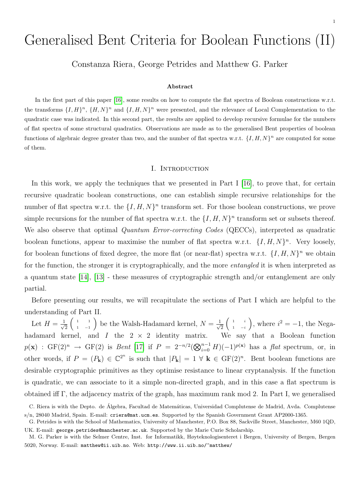# Generalised Bent Criteria for Boolean Functions (II)

Constanza Riera, George Petrides and Matthew G. Parker

#### Abstract

In the first part of this paper [\[16\]](#page-16-0), some results on how to compute the flat spectra of Boolean constructions w.r.t. the transforms  $\{I, H\}^n$ ,  $\{H, N\}^n$  and  $\{I, H, N\}^n$  were presented, and the relevance of Local Complementation to the quadratic case was indicated. In this second part, the results are applied to develop recursive formulae for the numbers of flat spectra of some structural quadratics. Observations are made as to the generalised Bent properties of boolean functions of algebraic degree greater than two, and the number of flat spectra w.r.t.  $\{I, H, N\}^n$  are computed for some of them.

#### I. INTRODUCTION

In this work, we apply the techniques that we presented in Part I [\[16\]](#page-16-0), to prove that, for certain recursive quadratic boolean constructions, one can establish simple recursive relationships for the number of flat spectra w.r.t. the  $\{I, H, N\}^n$  transform set. For those boolean constructions, we prove simple recursions for the number of flat spectra w.r.t. the  $\{I, H, N\}^n$  transform set or subsets thereof. We also observe that optimal *Quantum Error-correcting Codes* (QECCs), interpreted as quadratic boolean functions, appear to maximise the number of flat spectra w.r.t.  $\{I, H, N\}^n$ . Very loosely, for boolean functions of fixed degree, the more flat (or near-flat) spectra w.r.t.  $\{I, H, N\}^n$  we obtain for the function, the stronger it is cryptographically, and the more *entangled* it is when interpreted as a quantum state [\[14\]](#page-16-1), [\[13\]](#page-15-0) - these measures of cryptographic strength and/or entanglement are only partial.

Before presenting our results, we will recapitulate the sections of Part I which are helpful to the understanding of Part II.

Let  $H = \frac{1}{\sqrt{2}}$ 2  $\begin{pmatrix} 1 & 1 \end{pmatrix}$ 1 −1 ) be the Walsh-Hadamard kernel,  $N = \frac{1}{\sqrt{2}}$  $\overline{c}$  $\begin{pmatrix} 1 & i \end{pmatrix}$ 1 −i ), where  $i^2 = -1$ , the Negahadamard kernel, and  $I$  the  $2 \times 2$  identity matrix. We say that a Boolean function  $p(\mathbf{x})$  : GF(2)<sup>n</sup>  $\rightarrow$  GF(2) is *Bent* [\[17\]](#page-16-2) if  $P = 2^{-n/2} (\bigotimes_{i=0}^{n-1} H)(-1)^{p(\mathbf{x})}$  has a *flat* spectrum, or, in other words, if  $P = (P_k) \in \mathbb{C}^{2^n}$  is such that  $|P_k| = 1 \forall k \in \mathrm{GF}(2)^n$ . Bent boolean functions are desirable cryptographic primitives as they optimise resistance to linear cryptanalysis. If the function is quadratic, we can associate to it a simple non-directed graph, and in this case a flat spectrum is obtained iff Γ, the adjacency matrix of the graph, has maximum rank mod 2. In Part I, we generalised

C. Riera is with the Depto. de Álgebra, Facultad de Matemáticas, Universidad Complutense de Madrid, Avda. Complutense s/n, 28040 Madrid, Spain. E-mail: criera@mat.ucm.es. Supported by the Spanish Government Grant AP2000-1365.

G. Petrides is with the School of Mathematics, University of Manchester, P.O. Box 88, Sackville Street, Manchester, M60 1QD, UK. E-mail: george.petrides@manchester.ac.uk. Supported by the Marie Curie Scholarship.

M. G. Parker is with the Selmer Centre, Inst. for Informatikk, Høyteknologisenteret i Bergen, University of Bergen, Bergen 5020, Norway. E-mail: matthew@ii.uib.no. Web: http://www.ii.uib.no/~matthew/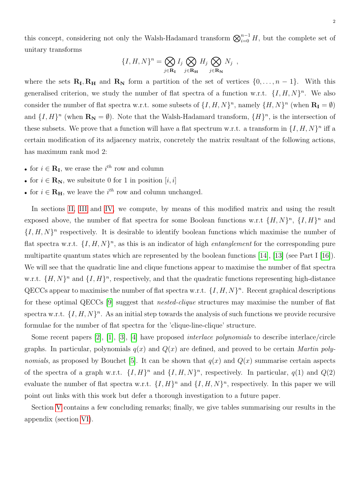this concept, considering not only the Walsh-Hadamard transform  $\bigotimes_{i=0}^{n-1} H$ , but the complete set of unitary transforms

$$
\{I, H, N\}^n = \bigotimes_{j \in \mathbf{R_I}} I_j \bigotimes_{j \in \mathbf{R_H}} H_j \bigotimes_{j \in \mathbf{R_N}} N_j ,
$$

where the sets  $\mathbf{R}_{\text{I}}, \mathbf{R}_{\text{H}}$  and  $\mathbf{R}_{\text{N}}$  form a partition of the set of vertices  $\{0, \ldots, n-1\}$ . With this generalised criterion, we study the number of flat spectra of a function w.r.t.  $\{I, H, N\}^n$ . We also consider the number of flat spectra w.r.t. some subsets of  $\{I, H, N\}^n$ , namely  $\{H, N\}^n$  (when  $\mathbf{R}_{\mathbf{I}} = \emptyset$ ) and  $\{I, H\}^n$  (when  $\mathbf{R}_{\mathbf{N}} = \emptyset$ ). Note that the Walsh-Hadamard transform,  $\{H\}^n$ , is the intersection of these subsets. We prove that a function will have a flat spectrum w.r.t. a transform in  $\{I, H, N\}^n$  iff a certain modification of its adjacency matrix, concretely the matrix resultant of the following actions, has maximum rank mod 2:

- for  $i \in \mathbf{R}_{\mathbf{I}}$ , we erase the  $i^{th}$  row and column
- for  $i \in \mathbf{R}_{N}$ , we subsitute 0 for 1 in position  $[i, i]$
- for  $i \in \mathbf{R}_{\mathbf{H}}$ , we leave the  $i^{th}$  row and column unchanged.

In sections [II,](#page-2-0) [III](#page-6-0) and [IV,](#page-10-0) we compute, by means of this modified matrix and using the result exposed above, the number of flat spectra for some Boolean functions w.r.t  $\{H, N\}^n$ ,  $\{I, H\}^n$  and  $\{I, H, N\}^n$  respectively. It is desirable to identify boolean functions which maximise the number of flat spectra w.r.t.  $\{I, H, N\}^n$ , as this is an indicator of high *entanglement* for the corresponding pure multipartite quantum states which are represented by the boolean functions [\[14\]](#page-16-1), [\[13\]](#page-15-0) (see Part I [\[16\]](#page-16-0)). We will see that the quadratic line and clique functions appear to maximise the number of flat spectra w.r.t.  $\{H, N\}^n$  and  $\{I, H\}^n$ , respectively, and that the quadratic functions representing high-distance QECCs appear to maximise the number of flat spectra w.r.t.  $\{I, H, N\}^n$ . Recent graphical descriptions for these optimal QECCs [\[9\]](#page-15-1) suggest that nested-clique structures may maximise the number of flat spectra w.r.t.  $\{I, H, N\}^n$ . As an initial step towards the analysis of such functions we provide recursive formulae for the number of flat spectra for the 'clique-line-clique' structure.

Some recent papers [\[2\]](#page-15-2), [\[1\]](#page-15-3), [\[3\]](#page-15-4), [\[4\]](#page-15-5) have proposed interlace polynomials to describe interlace/circle graphs. In particular, polynomials  $q(x)$  and  $Q(x)$  are defined, and proved to be certain *Martin poly-*nomials, as proposed by Bouchet [\[5\]](#page-15-6). It can be shown that  $q(x)$  and  $Q(x)$  summarise certain aspects of the spectra of a graph w.r.t.  $\{I, H\}^n$  and  $\{I, H, N\}^n$ , respectively. In particular,  $q(1)$  and  $Q(2)$ evaluate the number of flat spectra w.r.t.  $\{I, H\}^n$  and  $\{I, H, N\}^n$ , respectively. In this paper we will point out links with this work but defer a thorough investigation to a future paper.

Section [V](#page-14-0) contains a few concluding remarks; finally, we give tables summarising our results in the appendix (section [VI\)](#page-17-0).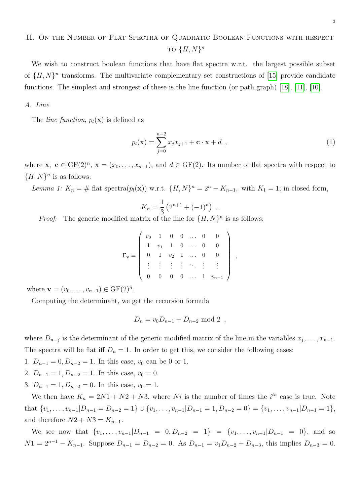# <span id="page-2-0"></span>II. ON THE NUMBER OF FLAT SPECTRA OF QUADRATIC BOOLEAN FUNCTIONS WITH RESPECT TO  $\{H, N\}^n$

We wish to construct boolean functions that have flat spectra w.r.t. the largest possible subset of  $\{H, N\}$ <sup>n</sup> transforms. The multivariate complementary set constructions of [\[15\]](#page-16-3) provide candidate functions. The simplest and strongest of these is the line function (or path graph) [\[18\]](#page-16-4), [\[11\]](#page-15-7), [\[10\]](#page-15-8).

# A. Line

The *line function*,  $p_l(\mathbf{x})$  is defined as

<span id="page-2-1"></span>
$$
p_l(\mathbf{x}) = \sum_{j=0}^{n-2} x_j x_{j+1} + \mathbf{c} \cdot \mathbf{x} + d \quad , \tag{1}
$$

,

.

where  $\mathbf{x}, \ \mathbf{c} \in \mathrm{GF}(2)^n, \ \mathbf{x} = (x_0, \ldots, x_{n-1}),$  and  $d \in \mathrm{GF}(2)$ . Its number of flat spectra with respect to  ${H, N}^n$  is as follows:

<span id="page-2-2"></span>Lemma 1:  $K_n = \#$  flat spectra $(p_l(\mathbf{x}))$  w.r.t.  $\{H, N\}^n = 2^n - K_{n-1}$ , with  $K_1 = 1$ ; in closed form,

$$
K_n = \frac{1}{3} \left( 2^{n+1} + (-1)^n \right)
$$

*Proof:* The generic modified matrix of the line for  $\{H, N\}^n$  is as follows:

$$
\Gamma_{\mathbf{v}} = \left( \begin{array}{cccccc} v_0 & 1 & 0 & 0 & \dots & 0 & 0 \\ 1 & v_1 & 1 & 0 & \dots & 0 & 0 \\ 0 & 1 & v_2 & 1 & \dots & 0 & 0 \\ \vdots & \vdots & \vdots & \vdots & \ddots & \vdots & \vdots \\ 0 & 0 & 0 & 0 & \dots & 1 & v_{n-1} \end{array} \right)
$$

where  $\mathbf{v} = (v_0, \dots, v_{n-1}) \in \mathrm{GF}(2)^n$ .

Computing the determinant, we get the recursion formula

$$
D_n = v_0 D_{n-1} + D_{n-2} \text{ mod } 2 ,
$$

where  $D_{n-j}$  is the determinant of the generic modified matrix of the line in the variables  $x_j, \ldots, x_{n-1}$ . The spectra will be flat iff  $D_n = 1$ . In order to get this, we consider the following cases:

1.  $D_{n-1} = 0, D_{n-2} = 1$ . In this case,  $v_0$  can be 0 or 1.

2.  $D_{n-1} = 1, D_{n-2} = 1$ . In this case,  $v_0 = 0$ .

3.  $D_{n-1} = 1, D_{n-2} = 0$ . In this case,  $v_0 = 1$ .

We then have  $K_n = 2N1 + N2 + N3$ , where Ni is the number of times the i<sup>th</sup> case is true. Note that  $\{v_1, \ldots, v_{n-1}|D_{n-1} = D_{n-2} = 1\} \cup \{v_1, \ldots, v_{n-1}|D_{n-1} = 1, D_{n-2} = 0\} = \{v_1, \ldots, v_{n-1}|D_{n-1} = 1\},$ and therefore  $N2 + N3 = K_{n-1}$ .

We see now that  $\{v_1, \ldots, v_{n-1}|D_{n-1} = 0, D_{n-2} = 1\} = \{v_1, \ldots, v_{n-1}|D_{n-1} = 0\}$ , and so  $N1 = 2^{n-1} - K_{n-1}$ . Suppose  $D_{n-1} = D_{n-2} = 0$ . As  $D_{n-1} = v_1 D_{n-2} + D_{n-3}$ , this implies  $D_{n-3} = 0$ .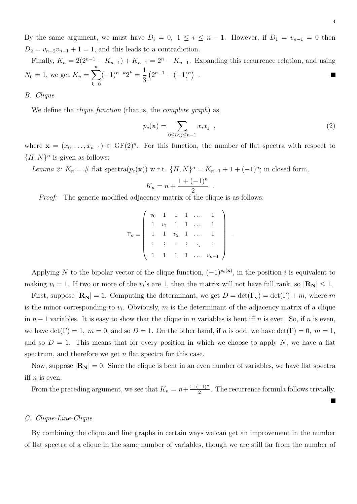By the same argument, we must have  $D_i = 0, 1 \le i \le n-1$ . However, if  $D_1 = v_{n-1} = 0$  then  $D_2 = v_{n-2}v_{n-1} + 1 = 1$ , and this leads to a contradiction.

Finally,  $K_n = 2(2^{n-1} - K_{n-1}) + K_{n-1} = 2^n - K_{n-1}$ . Expanding this recurrence relation, and using  $N_0 = 1$ , we get  $K_n = \sum_{n=1}^n$  $(-1)^{n+k}2^k = \frac{1}{2}$  $(2^{n+1} + (-1)^n)$ . **T** 3  $k=0$ 

B. Clique

We define the *clique function* (that is, the *complete graph*) as,

<span id="page-3-1"></span>
$$
p_c(\mathbf{x}) = \sum_{0 \le i < j \le n-1} x_i x_j \tag{2}
$$

where  $\mathbf{x} = (x_0, \ldots, x_{n-1}) \in \mathrm{GF}(2)^n$ . For this function, the number of flat spectra with respect to  $\{H, N\}^n$  is given as follows:

<span id="page-3-0"></span>Lemma 2:  $K_n = \#$  flat spectra $(p_c(\mathbf{x}))$  w.r.t.  $\{H, N\}^n = K_{n-1} + 1 + (-1)^n$ ; in closed form,

$$
K_n = n + \frac{1 + (-1)^n}{2}
$$

.

Proof: The generic modified adjacency matrix of the clique is as follows:

$$
\Gamma_{\mathbf{v}} = \left( \begin{array}{ccccc} v_0 & 1 & 1 & 1 & \dots & 1 \\ 1 & v_1 & 1 & 1 & \dots & 1 \\ 1 & 1 & v_2 & 1 & \dots & 1 \\ \vdots & \vdots & \vdots & \vdots & \ddots & \vdots \\ 1 & 1 & 1 & 1 & \dots & v_{n-1} \end{array} \right) .
$$

Applying N to the bipolar vector of the clique function,  $(-1)^{p_c(x)}$ , in the position i is equivalent to making  $v_i = 1$ . If two or more of the  $v_i$ 's are 1, then the matrix will not have full rank, so  $|\mathbf{R_N}| \leq 1$ .

First, suppose  $|\mathbf{R}_{N}| = 1$ . Computing the determinant, we get  $D = \det(\Gamma_{\mathbf{v}}) = \det(\Gamma) + m$ , where m is the minor corresponding to  $v_i$ . Obviously, m is the determinant of the adjacency matrix of a clique in  $n-1$  variables. It is easy to show that the clique in n variables is bent iff n is even. So, if n is even, we have  $\det(\Gamma) = 1$ ,  $m = 0$ , and so  $D = 1$ . On the other hand, if n is odd, we have  $\det(\Gamma) = 0$ ,  $m = 1$ , and so  $D = 1$ . This means that for every position in which we choose to apply N, we have a flat spectrum, and therefore we get  $n$  flat spectra for this case.

Now, suppose  $|\mathbf{R_N}| = 0$ . Since the clique is bent in an even number of variables, we have flat spectra iff  $n$  is even.

From the preceding argument, we see that  $K_n = n + \frac{1+(-1)^n}{2}$  $\frac{-1}{2}$ . The recurrence formula follows trivially.

# C. Clique-Line-Clique

By combining the clique and line graphs in certain ways we can get an improvement in the number of flat spectra of a clique in the same number of variables, though we are still far from the number of

 $\overline{\phantom{a}}$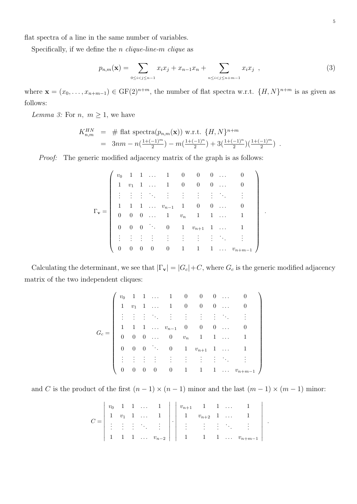flat spectra of a line in the same number of variables.

Specifically, if we define the *n* clique-line- $m$  clique as

<span id="page-4-0"></span>
$$
p_{n,m}(\mathbf{x}) = \sum_{0 \le i < j \le n-1} x_i x_j + x_{n-1} x_n + \sum_{n \le i < j \le n+m-1} x_i x_j \tag{3}
$$

where  $\mathbf{x} = (x_0, \ldots, x_{n+m-1}) \in \mathrm{GF}(2)^{n+m}$ , the number of flat spectra w.r.t.  $\{H, N\}^{n+m}$  is as given as follows:

<span id="page-4-1"></span>Lemma 3: For  $n, m \geq 1$ , we have

$$
K_{n,m}^{HN} = # \text{ flat spectra}(p_{n,m}(\mathbf{x})) \text{ w.r.t. } \{H, N\}^{n+m}
$$
  
=  $3nm - n(\frac{1+(-1)^m}{2}) - m(\frac{1+(-1)^n}{2}) + 3(\frac{1+(-1)^n}{2}) (\frac{1+(-1)^m}{2})$ .

Proof: The generic modified adjacency matrix of the graph is as follows:

$$
\Gamma_{\mathbf{v}} = \left( \begin{array}{ccccccccc} v_0 & 1 & 1 & \dots & 1 & 0 & 0 & 0 & \dots & 0 \\ 1 & v_1 & 1 & \dots & 1 & 0 & 0 & 0 & \dots & 0 \\ \vdots & \vdots & \vdots & \ddots & \vdots & \vdots & \vdots & \vdots & \ddots & \vdots \\ 1 & 1 & 1 & \dots & v_{n-1} & 1 & 0 & 0 & \dots & 0 \\ 0 & 0 & 0 & \dots & 1 & v_n & 1 & 1 & \dots & 1 \\ 0 & 0 & 0 & \ddots & 0 & 1 & v_{n+1} & 1 & \dots & 1 \\ \vdots & \vdots & \vdots & \vdots & \vdots & \vdots & \vdots & \vdots & \ddots & \vdots \\ 0 & 0 & 0 & 0 & 0 & 1 & 1 & 1 & \dots & v_{n+m-1} \end{array} \right).
$$

Calculating the determinant, we see that  $|\Gamma_{\mathbf{v}}| = |G_c| + C$ , where  $G_c$  is the generic modified adjacency matrix of the two independent cliques:

$$
G_c = \left(\begin{array}{ccccccccc} v_0 & 1 & 1 & \ldots & 1 & 0 & 0 & 0 & \ldots & 0 \\ 1 & v_1 & 1 & \ldots & 1 & 0 & 0 & 0 & \ldots & 0 \\ \vdots & \vdots & \vdots & \ddots & \vdots & \vdots & \vdots & \vdots & \ddots & \vdots \\ 1 & 1 & 1 & \ldots & v_{n-1} & 0 & 0 & 0 & \ldots & 0 \\ 0 & 0 & 0 & \ldots & 0 & v_n & 1 & 1 & \ldots & 1 \\ 0 & 0 & 0 & \ddots & 0 & 1 & v_{n+1} & 1 & \ldots & 1 \\ \vdots & \vdots & \vdots & \vdots & \vdots & \vdots & \vdots & \vdots & \ddots & \vdots \\ 0 & 0 & 0 & 0 & 0 & 1 & 1 & 1 & \ldots & v_{n+m-1} \end{array}\right)
$$

and C is the product of the first  $(n-1) \times (n-1)$  minor and the last  $(m-1) \times (m-1)$  minor:

$$
C = \begin{bmatrix} v_0 & 1 & 1 & \dots & 1 \\ 1 & v_1 & 1 & \dots & 1 \\ \vdots & \vdots & \vdots & \ddots & \vdots \\ 1 & 1 & 1 & \dots & v_{n-2} \end{bmatrix} \cdot \begin{bmatrix} v_{n+1} & 1 & 1 & \dots & 1 \\ 1 & v_{n+2} & 1 & \dots & 1 \\ \vdots & \vdots & \vdots & \ddots & \vdots \\ 1 & 1 & 1 & \dots & v_{n+m-1} \end{bmatrix}
$$

.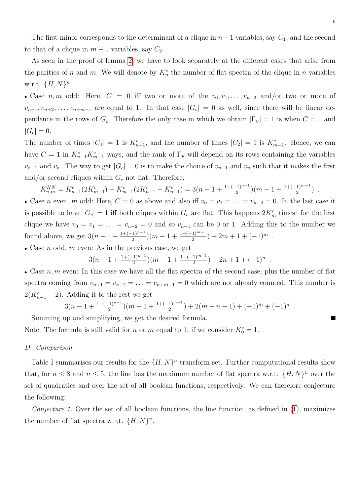The first minor corresponds to the determinant of a clique in  $n-1$  variables, say  $C_1$ , and the second to that of a clique in  $m-1$  variables, say  $C_2$ .

As seen in the proof of lemma [2,](#page-3-0) we have to look separately at the different cases that arise from the parities of n and m. We will denote by  $K_n^c$  the number of flat spectra of the clique in n variables w.r.t.  $\{H, N\}^n$ .

• Case n, m odd: Here,  $C = 0$  iff two or more of the  $v_0, v_1, \ldots, v_{n-2}$  and/or two or more of  $v_{n+1}, v_{n+2}, \ldots, v_{n+m-1}$  are equal to 1. In that case  $|G_c| = 0$  as well, since there will be linear dependence in the rows of  $G_c$ . Therefore the only case in which we obtain  $|\Gamma_{\mathbf{v}}| = 1$  is when  $C = 1$  and  $|G_c| = 0.$ 

The number of times  $|C_1| = 1$  is  $K_{n-1}^c$ , and the number of times  $|C_2| = 1$  is  $K_{m-1}^c$ . Hence, we can have  $C = 1$  in  $K_{n-1}^c K_{m-1}^c$  ways, and the rank of  $\Gamma_{\mathbf{v}}$  will depend on its rows containing the variables  $v_{n-1}$  and  $v_n$ . The way to get  $|G_c| = 0$  is to make the choice of  $v_{n-1}$  and  $v_n$  such that it makes the first and/or second cliques within  $G_c$  not flat. Therefore,

$$
K_{n,m}^{HN} = K_{n-1}^c(2K_{m-1}^c) + K_{m-1}^c(2K_{n-1}^c - K_{n-1}^c) = 3(n-1 + \frac{1+(-1)^{n-1}}{2})(m-1 + \frac{1+(-1)^{m-1}}{2})
$$
.

• Case *n* even, *m* odd: Here,  $C = 0$  as above and also iff  $v_0 = v_1 = \ldots = v_{n-2} = 0$ . In the last case it is possible to have  $|G_c| = 1$  iff both cliques within  $G_c$  are flat. This happens  $2K_m^c$  times: for the first clique we have  $v_0 = v_1 = \ldots = v_{n-2} = 0$  and so  $v_{n-1}$  can be 0 or 1. Adding this to the number we found above, we get  $3(n-1+\frac{1+(-1)^{n-1}}{2})(m-1+\frac{1+(-1)^{m-1}}{2})+2m+1+(-1)^m$ .

• Case  $n$  odd,  $m$  even: As in the previous case, we get

$$
3(n-1+\frac{1+(-1)^{n-1}}{2})(m-1+\frac{1+(-1)^{m-1}}{2})+2n+1+(-1)^n.
$$

• Case  $n, m$  even: In this case we have all the flat spectra of the second case, plus the number of flat spectra coming from  $v_{n+1} = v_{n+2} = \ldots = v_{n+m-1} = 0$  which are not already counted. This number is  $2(K_{n-1}^c - 2)$ . Adding it to the rest we get

$$
3(n-1+\frac{1+(-1)^{n-1}}{2})(m-1+\frac{1+(-1)^{m-1}}{2})+2(m+n-1)+(-1)^m+(-1)^n.
$$

Summing up and simplifying, we get the desired formula.

Note: The formula is still valid for *n* or *m* equal to 1, if we consider  $K_0^c = 1$ .

# D. Comparison

Table I summarises our results for the  $\{H, N\}^n$  transform set. Further computational results show that, for  $n \leq 8$  and  $n \leq 5$ , the line has the maximum number of flat spectra w.r.t.  $\{H, N\}^n$  over the set of quadratics and over the set of all boolean functions, respectively. We can therefore conjecture the following:

Conjecture 1: Over the set of all boolean functions, the line function, as defined in  $(1)$ , maximizes the number of flat spectra w.r.t.  $\{H, N\}^n$ .

П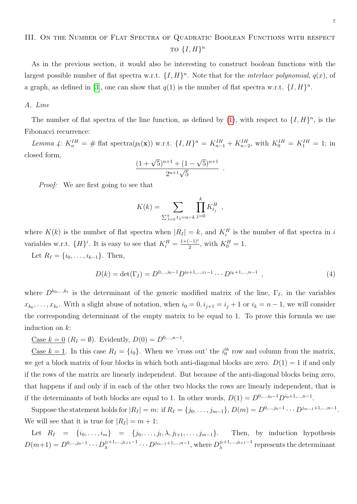# <span id="page-6-0"></span>III. ON THE NUMBER OF FLAT SPECTRA OF QUADRATIC BOOLEAN FUNCTIONS WITH RESPECT TO  $\{I, H\}^n$

As in the previous section, it would also be interesting to construct boolean functions with the largest possible number of flat spectra w.r.t.  $\{I, H\}^n$ . Note that for the *interlace polynomial*,  $q(x)$ , of a graph, as defined in [\[3\]](#page-15-4), one can show that  $q(1)$  is the number of flat spectra w.r.t.  $\{I, H\}^n$ .

# A. Line

The number of flat spectra of the line function, as defined by [\(1\)](#page-2-1), with respect to  $\{I, H\}^n$ , is the Fibonacci recurrence:

<span id="page-6-2"></span>Lemma 4:  $K_n^{IH} = #$  flat spectra $(p_l(\mathbf{x}))$  w.r.t.  $\{I, H\}^n = K_{n-1}^{IH} + K_{n-2}^{IH}$ , with  $K_0^{IH} = K_1^{IH} = 1$ ; in closed form, √

$$
\frac{(1+\sqrt{5})^{n+1}+(1-\sqrt{5})^{n+1}}{2^{n+1}\sqrt{5}}
$$

Proof: We are first going to see that

$$
K(k) = \sum_{\sum_{\lambda=0}^{k} t_{\lambda} = n-k} \prod_{j=0}^{k} K_{t_j}^H,
$$

where  $K(k)$  is the number of flat spectra when  $|R_I| = k$ , and  $K_i^H$  is the number of flat spectra in i variables w.r.t.  $\{H\}^i$ . It is easy to see that  $K_i^H = \frac{1+(-1)^i}{2}$  $\frac{(-1)^i}{2}$ , with  $K_0^H = 1$ .

Let  $R_I = \{i_0, \ldots, i_{k-1}\}.$  Then,

<span id="page-6-1"></span>
$$
D(k) = \det(\Gamma_I) = D^{0,\dots,i_0-1} D^{i_0+1,\dots,i_1-1} \cdots D^{i_k+1,\dots,n-1} , \qquad (4)
$$

.

where  $D^{k_0,\dots,k_t}$  is the determinant of the generic modified matrix of the line,  $\Gamma_I$ , in the variables  $x_{k_0}, \ldots, x_{k_t}$ . With a slight abuse of notation, when  $i_0 = 0, i_{j+1} = i_j + 1$  or  $i_k = n - 1$ , we will consider the corresponding determinant of the empty matrix to be equal to 1. To prove this formula we use induction on k:

Case  $k = 0$   $(R_I = \emptyset)$ . Evidently,  $D(0) = D^{0,...,n-1}$ .

<u>Case  $k = 1$ </u>. In this case  $R_I = \{i_0\}$ . When we 'cross out' the  $i_0<sup>th</sup>$  row and column from the matrix, we get a block matrix of four blocks in which both anti-diagonal blocks are zero.  $D(1) = 1$  if and only if the rows of the matrix are linearly independent. But because of the anti-diagonal blocks being zero, that happens if and only if in each of the other two blocks the rows are linearly independent, that is if the determinants of both blocks are equal to 1. In other words,  $D(1) = D^{0,\dots,i_0-1}D^{i_0+1,\dots,n-1}$ .

Suppose the statement holds for  $|R_I| = m$ : if  $R_I = \{j_0, \ldots, j_{m-1}\}, D(m) = D^{0, \ldots, j_0 - 1} \cdots D^{j_{m-1}+1, \ldots, n-1}$ . We will see that it is true for  $|R_I| = m + 1$ :

Let  $R_I = \{i_0, \ldots, i_m\} = \{j_0, \ldots, j_l, \lambda, j_{l+1}, \ldots, j_{m-1}\}.$ Then, by induction hypothesis  $D(m+1) = D^{0,...,j_0-1} \cdots D_{\lambda}^{j_l+1,...,j_{l+1}-1}$  $\lambda^{j_l+1,...,j_{l+1}-1} \cdots D^{j_{m-1}+1,...,n-1}$ , where  $D_{\lambda}^{j_l+1,...,j_{l+1}-1}$  $\lambda^{\eta+1,\ldots,\eta+1-1}$  represents the determinant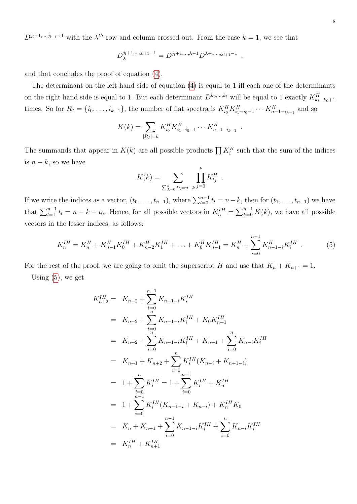$D^{j_1+1,\dots,j_{l+1}-1}$  with the  $\lambda^{th}$  row and column crossed out. From the case  $k=1$ , we see that

$$
D_{\lambda}^{j_l+1,\dots,j_{l+1}-1} = D^{j_l+1,\dots,\lambda-1} D^{\lambda+1,\dots,j_{l+1}-1} ,
$$

and that concludes the proof of equation [\(4\)](#page-6-1).

The determinant on the left hand side of equation [\(4\)](#page-6-1) is equal to 1 iff each one of the determinants on the right hand side is equal to 1. But each determinant  $D^{k_0,\dots,k_t}$  will be equal to 1 exactly  $K_{k_t-k_0+1}^H$ times. So for  $R_I = \{i_0, \ldots, i_{k-1}\}\$ , the number of flat spectra is  $K_{i_0}^H K_{i_1-i_0-1}^H \cdots K_{i_{n-1}-i_{k-1}}^H$  and so

$$
K(k) = \sum_{|R_I|=k} K_{i_0}^H K_{i_1-i_0-1}^H \cdots K_{n-1-i_{k-1}}^H.
$$

The summands that appear in  $K(k)$  are all possible products  $\prod K_i^H$  such that the sum of the indices is  $n - k$ , so we have

$$
K(k) = \sum_{\sum_{k=0}^{k} t_{\lambda} = n-k} \prod_{j=0}^{k} K_{t_j}^H
$$

If we write the indices as a vector,  $(t_0, \ldots, t_{n-1})$ , where  $\sum_{l=0}^{n-1} t_l = n-k$ , then for  $(t_1, \ldots, t_{n-1})$  we have that  $\sum_{l=1}^{n-1} t_l = n - k - t_0$ . Hence, for all possible vectors in  $K_n^{IH} = \sum_{k=0}^{n-1} K(k)$ , we have all possible vectors in the lesser indices, as follows:

<span id="page-7-0"></span>
$$
K_n^{IH} = K_n^H + K_{n-1}^H K_0^{IH} + K_{n-2}^H K_1^{IH} + \ldots + K_0^H K_{n-1}^{IH} = K_n^H + \sum_{i=0}^{n-1} K_{n-i-i}^H K_i^{IH} \tag{5}
$$

.

For the rest of the proof, we are going to omit the superscript H and use that  $K_n + K_{n+1} = 1$ .

Using  $(5)$ , we get

$$
K_{n+2}^{IH} = K_{n+2} + \sum_{i=0}^{n+1} K_{n+1-i} K_i^{IH}
$$
  
\n
$$
= K_{n+2} + \sum_{i=0}^{n} K_{n+1-i} K_i^{IH} + K_0 K_{n+1}^{IH}
$$
  
\n
$$
= K_{n+2} + \sum_{i=0}^{n} K_{n+1-i} K_i^{IH} + K_{n+1} + \sum_{i=0}^{n} K_{n-i} K_i^{IH}
$$
  
\n
$$
= K_{n+1} + K_{n+2} + \sum_{i=0}^{n} K_i^{IH} (K_{n-i} + K_{n+1-i})
$$
  
\n
$$
= 1 + \sum_{i=0}^{n} K_i^{IH} = 1 + \sum_{i=0}^{n-1} K_i^{IH} + K_n^{IH}
$$
  
\n
$$
= 1 + \sum_{i=0}^{n-1} K_i^{IH} (K_{n-1-i} + K_{n-i}) + K_n^{IH} K_0
$$
  
\n
$$
= K_n + K_{n+1} + \sum_{i=0}^{n-1} K_{n-1-i} K_i^{IH} + \sum_{i=0}^{n} K_{n-i} K_i^{IH}
$$
  
\n
$$
= K_n^{IH} + K_{n+1}^{IH}
$$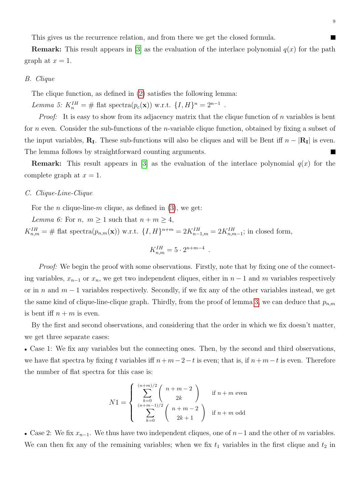This gives us the recurrence relation, and from there we get the closed formula.

**Remark:** This result appears in [\[3\]](#page-15-4) as the evaluation of the interlace polynomial  $q(x)$  for the path graph at  $x = 1$ .

#### B. Clique

The clique function, as defined in [\(2\)](#page-3-1) satisfies the following lemma:

Lemma 5:  $K_n^{IH} = # \text{ flat spectra}(p_c(\mathbf{x})) \text{ w.r.t. } \{I, H\}^n = 2^{n-1}$ .

*Proof:* It is easy to show from its adjacency matrix that the clique function of n variables is bent for n even. Consider the sub-functions of the *n*-variable clique function, obtained by fixing a subset of the input variables,  $\mathbf{R}_{\text{I}}$ . These sub-functions will also be cliques and will be Bent iff  $n - |\mathbf{R}_{\text{I}}|$  is even. The lemma follows by straightforward counting arguments.

**Remark:** This result appears in [\[3\]](#page-15-4) as the evaluation of the interlace polynomial  $q(x)$  for the complete graph at  $x = 1$ .

# C. Clique-Line-Clique

For the *n* clique-line-*m* clique, as defined in [\(3\)](#page-4-0), we get:

Lemma 6: For n,  $m \geq 1$  such that  $n + m \geq 4$ ,  $K_{n,m}^{IH} = \text{\# flat spectra}(p_{n,m}(\mathbf{x}))$  w.r.t.  $\{I, H\}^{n+m} = 2K_{n-1,m}^{IH} = 2K_{n,m-1}^{IH}$ ; in closed form,

<span id="page-8-0"></span>
$$
K_{n,m}^{IH} = 5 \cdot 2^{n+m-4} \ .
$$

Proof: We begin the proof with some observations. Firstly, note that by fixing one of the connecting variables,  $x_{n-1}$  or  $x_n$ , we get two independent cliques, either in  $n-1$  and m variables respectively or in n and  $m-1$  variables respectively. Secondly, if we fix any of the other variables instead, we get the same kind of clique-line-clique graph. Thirdly, from the proof of lemma [3,](#page-4-1) we can deduce that  $p_{n,m}$ is bent iff  $n + m$  is even.

By the first and second observations, and considering that the order in which we fix doesn't matter, we get three separate cases:

• Case 1: We fix any variables but the connecting ones. Then, by the second and third observations, we have flat spectra by fixing t variables iff  $n+m-2-t$  is even; that is, if  $n+m-t$  is even. Therefore the number of flat spectra for this case is:

$$
N1 = \begin{cases} \sum_{k=0}^{(n+m)/2} {n+m-2 \choose 2k} & \text{if } n+m \text{ even} \\ \sum_{k=0}^{(n+m-1)/2} {n+m-2 \choose 2k+1} & \text{if } n+m \text{ odd} \end{cases}
$$

• Case 2: We fix  $x_{n-1}$ . We thus have two independent cliques, one of  $n-1$  and the other of m variables. We can then fix any of the remaining variables; when we fix  $t_1$  variables in the first clique and  $t_2$  in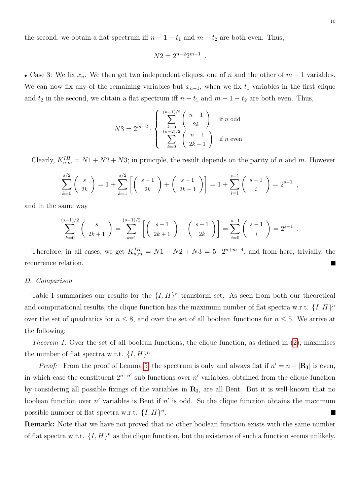the second, we obtain a flat spectrum iff  $n - 1 - t_1$  and  $m - t_2$  are both even. Thus,

$$
N2 = 2^{n-2}2^{m-1}.
$$

• Case 3: We fix  $x_n$ . We then get two independent cliques, one of n and the other of  $m-1$  variables. We can now fix any of the remaining variables but  $x_{n-1}$ ; when we fix  $t_1$  variables in the first clique and  $t_2$  in the second, we obtain a flat spectrum iff  $n - t_1$  and  $m - 1 - t_2$  are both even. Thus,

$$
N3 = 2^{m-2} \cdot \left\{ \sum_{\substack{k=0 \ n-2 \choose 2}}^{\frac{(n-1)/2}{2}} {n-1 \choose 2k} \text{ if } n \text{ odd} \atop \sum_{k=0}^{\frac{(n-2)/2}{2}} {n-1 \choose 2k+1} \text{ if } n \text{ even} \right\}
$$

Clearly,  $K_{n,m}^{IH} = N1 + N2 + N3$ ; in principle, the result depends on the parity of n and m. However

$$
\sum_{k=0}^{s/2} {s \choose 2k} = 1 + \sum_{k=1}^{s/2} \left[ {s-1 \choose 2k} + {s-1 \choose 2k-1} \right] = 1 + \sum_{i=1}^{s-1} {s-1 \choose i} = 2^{s-1},
$$

and in the same way

$$
\sum_{k=0}^{(s-1)/2} \binom{s}{2k+1} = \sum_{k=1}^{(s-1)/2} \left[ \binom{s-1}{2k+1} + \binom{s-1}{2k} \right] = \sum_{i=0}^{s-1} \binom{s-1}{i} = 2^{s-1}.
$$

Therefore, in all cases, we get  $K_{n,m}^{IH} = N1 + N2 + N3 = 5 \cdot 2^{n+m-4}$ , and from here, trivially, the recurrence relation. L.

# D. Comparison

Table I summarises our results for the  $\{I, H\}^n$  transform set. As seen from both our theoretical and computational results, the clique function has the maximum number of flat spectra w.r.t.  $\{I, H\}^n$ over the set of quadratics for  $n \leq 8$ , and over the set of all boolean functions for  $n \leq 5$ . We arrive at the following:

*Theorem 1:* Over the set of all boolean functions, the clique function, as defined in  $(2)$ , maximises the number of flat spectra w.r.t.  $\{I, H\}^n$ .

*Proof:* From the proof of Lemma [5,](#page-8-0) the spectrum is only and always flat if  $n' = n - |R_1|$  is even, in which case the constituent  $2^{n-n'}$  sub-functions over n' variables, obtained from the clique function by considering all possible fixings of the variables in  $R<sub>I</sub>$ , are all Bent. But it is well-known that no boolean function over  $n'$  variables is Bent if  $n'$  is odd. So the clique function obtains the maximum possible number of flat spectra w.r.t.  $\{I, H\}^n$ .

Remark: Note that we have not proved that no other boolean function exists with the same number of flat spectra w.r.t.  $\{I, H\}^n$  as the clique function, but the existence of such a function seems unlikely.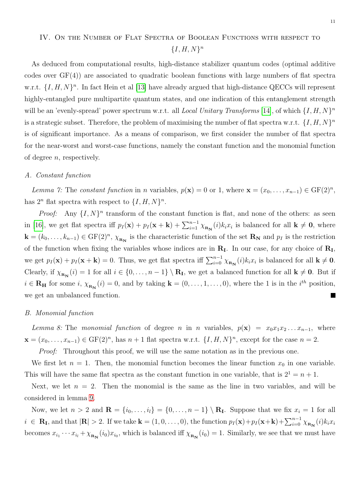# <span id="page-10-0"></span>IV. On the Number of Flat Spectra of Boolean Functions with respect to  ${I, H, N}^n$

As deduced from computational results, high-distance stabilizer quantum codes (optimal additive codes over  $GF(4)$  are associated to quadratic boolean functions with large numbers of flat spectra w.r.t.  $\{I, H, N\}^n$ . In fact Hein et al [\[13\]](#page-15-0) have already argued that high-distance QECCs will represent highly-entangled pure multipartite quantum states, and one indication of this entanglement strength will be an 'evenly-spread' power spectrum w.r.t. all Local Unitary Transforms [\[14\]](#page-16-1), of which  $\{I, H, N\}^n$ is a strategic subset. Therefore, the problem of maximising the number of flat spectra w.r.t.  $\{I, H, N\}^n$ is of significant importance. As a means of comparison, we first consider the number of flat spectra for the near-worst and worst-case functions, namely the constant function and the monomial function of degree  $n$ , respectively.

# A. Constant function

Lemma 7: The constant function in n variables,  $p(\mathbf{x}) = 0$  or 1, where  $\mathbf{x} = (x_0, \dots, x_{n-1}) \in \mathrm{GF}(2)^n$ , has  $2^n$  flat spectra with respect to  $\{I, H, N\}^n$ .

*Proof:* Any  $\{I, N\}^n$  transform of the constant function is flat, and none of the others: as seen in [\[16\]](#page-16-0), we get flat spectra iff  $p_I(\mathbf{x}) + p_I(\mathbf{x} + \mathbf{k}) + \sum_{i=1}^{n-1} \chi_{\mathbf{R_N}}(i) k_i x_i$  is balanced for all  $\mathbf{k} \neq \mathbf{0}$ , where  $\mathbf{k} = (k_0, \ldots, k_{n-1}) \in \mathrm{GF}(2)^n$ ,  $\chi_{\mathbf{R_N}}$  is the characteristic function of the set  $\mathbf{R_N}$  and  $p_I$  is the restriction of the function when fixing the variables whose indices are in  $R<sub>I</sub>$ . In our case, for any choice of  $R<sub>I</sub>$ , we get  $p_I(\mathbf{x}) + p_I(\mathbf{x} + \mathbf{k}) = 0$ . Thus, we get flat spectra iff  $\sum_{i=0}^{n-1} \chi_{\mathbf{R_N}}(i) k_i x_i$  is balanced for all  $\mathbf{k} \neq \mathbf{0}$ . Clearly, if  $\chi_{\mathbf{R}_{\mathbf{N}}}(i) = 1$  for all  $i \in \{0, \ldots, n-1\} \setminus \mathbf{R}_{\mathbf{I}}$ , we get a balanced function for all  $\mathbf{k} \neq \mathbf{0}$ . But if  $i \in \mathbf{R}_{\mathbf{H}}$  for some  $i$ ,  $\chi_{\mathbf{R}_{\mathbf{N}}}(i) = 0$ , and by taking  $\mathbf{k} = (0, \ldots, 1, \ldots, 0)$ , where the 1 is in the  $i^{th}$  position, Г we get an unbalanced function.

# B. Monomial function

Lemma 8: The monomial function of degree n in n variables,  $p(\mathbf{x}) = x_0 x_1 x_2 \dots x_{n-1}$ , where  $\mathbf{x} = (x_0, \ldots, x_{n-1}) \in \mathrm{GF}(2)^n$ , has  $n+1$  flat spectra w.r.t.  $\{I, H, N\}^n$ , except for the case  $n=2$ .

Proof: Throughout this proof, we will use the same notation as in the previous one.

We first let  $n = 1$ . Then, the monomial function becomes the linear function  $x_0$  in one variable. This will have the same flat spectra as the constant function in one variable, that is  $2^1 = n + 1$ .

Next, we let  $n = 2$ . Then the monomial is the same as the line in two variables, and will be considered in lemma [9.](#page-11-0)

Now, we let  $n > 2$  and  $\mathbf{R} = \{i_0, \ldots, i_l\} = \{0, \ldots, n-1\} \setminus \mathbf{R}_{\mathbf{I}}$ . Suppose that we fix  $x_i = 1$  for all  $i \in \mathbf{R}_{\mathbf{I}}$ , and that  $|\mathbf{R}| > 2$ . If we take  $\mathbf{k} = (1, 0, \ldots, 0)$ , the function  $p_I(\mathbf{x}) + p_I(\mathbf{x} + \mathbf{k}) + \sum_{i=0}^{n-1} \chi_{\mathbf{R}_{\mathbf{N}}}(i) k_i x_i$ becomes  $x_{i_1} \cdots x_{i_l} + \chi_{R_N}(i_0)x_{i_0}$ , which is balanced iff  $\chi_{R_N}(i_0) = 1$ . Similarly, we see that we must have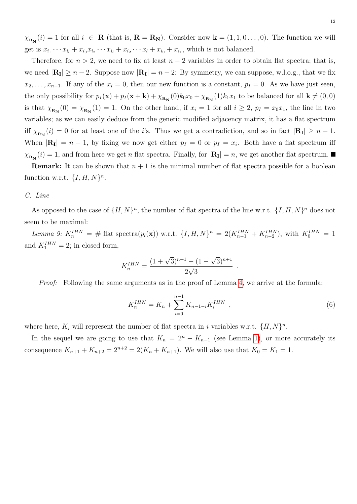$\chi_{_{\mathbf{R}_{\mathbf{N}}}}(i) = 1$  for all  $i \in \mathbf{R}$  (that is,  $\mathbf{R} = \mathbf{R}_{\mathbf{N}}$ ). Consider now  $\mathbf{k} = (1, 1, 0 \dots, 0)$ . The function we will get is  $x_{i_1}\cdots x_{i_l} + x_{i_0}x_{i_2}\cdots x_{i_l} + x_{i_2}\cdots x_l + x_{i_0} + x_{i_1}$ , which is not balanced.

Therefore, for  $n > 2$ , we need to fix at least  $n - 2$  variables in order to obtain flat spectra; that is, we need  $|\mathbf{R}_{\mathbf{I}}| \ge n - 2$ . Suppose now  $|\mathbf{R}_{\mathbf{I}}| = n - 2$ : By symmetry, we can suppose, w.l.o.g., that we fix  $x_2, \ldots, x_{n-1}$ . If any of the  $x_i = 0$ , then our new function is a constant,  $p_I = 0$ . As we have just seen, the only possibility for  $p_I(\mathbf{x}) + p_I(\mathbf{x} + \mathbf{k}) + \chi_{\mathbf{R_N}}(0)k_0x_0 + \chi_{\mathbf{R_N}}(1)k_1x_1$  to be balanced for all  $\mathbf{k} \neq (0,0)$ is that  $\chi_{\mathbf{R}_{\mathbf{N}}}(0) = \chi_{\mathbf{R}_{\mathbf{N}}}(1) = 1$ . On the other hand, if  $x_i = 1$  for all  $i \geq 2$ ,  $p_I = x_0 x_1$ , the line in two variables; as we can easily deduce from the generic modified adjacency matrix, it has a flat spectrum iff  $\chi_{_{\mathbf{R}_{\mathbf{N}}}}(i) = 0$  for at least one of the *i*'s. Thus we get a contradiction, and so in fact  $|\mathbf{R}_{\mathbf{I}}| \geq n - 1$ . When  $|\mathbf{R}_{\mathbf{I}}| = n - 1$ , by fixing we now get either  $p_I = 0$  or  $p_I = x_i$ . Both have a flat spectrum iff  $\chi_{_{\mathbf{R_N}}}(i) = 1$ , and from here we get *n* flat spectra. Finally, for  $|\mathbf{R_I}| = n$ , we get another flat spectrum.

**Remark:** It can be shown that  $n + 1$  is the minimal number of flat spectra possible for a boolean function w.r.t.  $\{I, H, N\}^n$ .

# C. Line

As opposed to the case of  $\{H, N\}^n$ , the number of flat spectra of the line w.r.t.  $\{I, H, N\}^n$  does not seem to be maximal:

<span id="page-11-0"></span>Lemma 9:  $K_n^{IHN} = #$  flat spectra $(p_l(\mathbf{x}))$  w.r.t.  $\{I, H, N\}^n = 2(K_{n-1}^{IHN} + K_{n-2}^{IHN})$ , with  $K_0^{IHN} = 1$ and  $K_1^{IHN} = 2$ ; in closed form,

$$
K_n^{IHN} = \frac{(1+\sqrt{3})^{n+1} - (1-\sqrt{3})^{n+1}}{2\sqrt{3}}.
$$

Proof: Following the same arguments as in the proof of Lemma [4,](#page-6-2) we arrive at the formula:

<span id="page-11-1"></span>
$$
K_n^{IHN} = K_n + \sum_{i=0}^{n-1} K_{n-1-i} K_i^{IHN} \quad , \tag{6}
$$

where here,  $K_i$  will represent the number of flat spectra in i variables w.r.t.  $\{H, N\}^n$ .

In the sequel we are going to use that  $K_n = 2^n - K_{n-1}$  (see Lemma [1\)](#page-2-2), or more accurately its consequence  $K_{n+1} + K_{n+2} = 2^{n+2} = 2(K_n + K_{n+1})$ . We will also use that  $K_0 = K_1 = 1$ .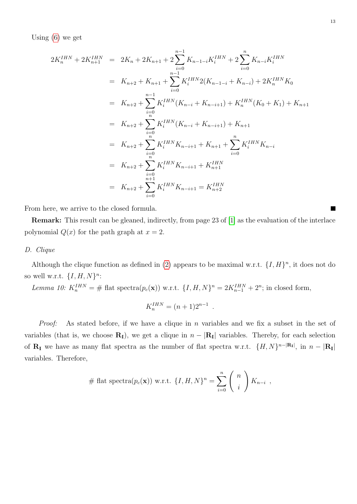Using [\(6\)](#page-11-1) we get

$$
2K_n^{IHN} + 2K_{n+1}^{IHN} = 2K_n + 2K_{n+1} + 2\sum_{i=0}^{n-1} K_{n-1-i}K_i^{IHN} + 2\sum_{i=0}^{n} K_{n-i}K_i^{IHN}
$$
  
\n
$$
= K_{n+2} + K_{n+1} + \sum_{i=0}^{n-1} K_i^{IHN} 2(K_{n-1-i} + K_{n-i}) + 2K_n^{IHN} K_0
$$
  
\n
$$
= K_{n+2} + \sum_{i=0}^{n-1} K_i^{IHN}(K_{n-i} + K_{n-i+1}) + K_n^{IHN}(K_0 + K_1) + K_{n+1}
$$
  
\n
$$
= K_{n+2} + \sum_{i=0}^{n} K_i^{IHN}(K_{n-i} + K_{n-i+1}) + K_{n+1}
$$
  
\n
$$
= K_{n+2} + \sum_{i=0}^{n} K_i^{IHN} K_{n-i+1} + K_{n+1} + \sum_{i=0}^{n} K_i^{IHN} K_{n-i}
$$
  
\n
$$
= K_{n+2} + \sum_{i=0}^{n+1} K_i^{IHN} K_{n-i+1} + K_{n+1}^{IHN}
$$
  
\n
$$
= K_{n+2} + \sum_{i=0}^{n+1} K_i^{IHN} K_{n-i+1} = K_{n+2}^{IHN}
$$

From here, we arrive to the closed formula.

Remark: This result can be gleaned, indirectly, from page 23 of [\[1\]](#page-15-3) as the evaluation of the interlace polynomial  $Q(x)$  for the path graph at  $x = 2$ .

# D. Clique

Although the clique function as defined in [\(2\)](#page-3-1) appears to be maximal w.r.t.  $\{I, H\}^n$ , it does not do so well w.r.t.  $\{I, H, N\}^n$ :

Lemma 10: 
$$
K_n^{IHN} = \#
$$
 flat spectra $(p_c(\mathbf{x}))$  w.r.t.  $\{I, H, N\}^n = 2K_{n-1}^{IHN} + 2^n$ ; in closed form,

$$
K_n^{IHN} = (n+1)2^{n-1}.
$$

*Proof:* As stated before, if we have a clique in n variables and we fix a subset in the set of variables (that is, we choose  $\mathbf{R}_{\mathbf{I}}$ ), we get a clique in  $n - |\mathbf{R}_{\mathbf{I}}|$  variables. Thereby, for each selection of  $\mathbf{R}_{\mathbf{I}}$  we have as many flat spectra as the number of flat spectra w.r.t.  $\{H, N\}^{n-|\mathbf{R}_{\mathbf{I}}|}$ , in  $n-|\mathbf{R}_{\mathbf{I}}|$ variables. Therefore,

# flat spectra
$$
(p_c(\mathbf{x}))
$$
 w.r.t.  $\{I, H, N\}^n = \sum_{i=0}^n {n \choose i} K_{n-i}$ ,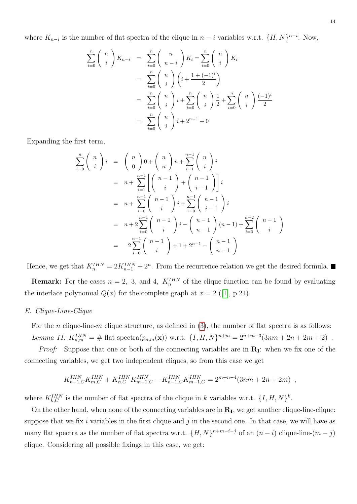where  $K_{n-i}$  is the number of flat spectra of the clique in  $n-i$  variables w.r.t.  $\{H, N\}^{n-i}$ . Now,

$$
\sum_{i=0}^{n} {n \choose i} K_{n-i} = \sum_{i=0}^{n} {n \choose n-i} K_i = \sum_{i=0}^{n} {n \choose i} K_i
$$
  
= 
$$
\sum_{i=0}^{n} {n \choose i} (i + \frac{1 + (-1)^i}{2})
$$
  
= 
$$
\sum_{i=0}^{n} {n \choose i} i + \sum_{i=0}^{n} {n \choose i} \frac{1}{2} + \sum_{i=0}^{n} {n \choose i} \frac{(-1)^i}{2}
$$
  
= 
$$
\sum_{i=0}^{n} {n \choose i} i + 2^{n-1} + 0
$$

Expanding the first term,

$$
\sum_{i=0}^{n} {n \choose i} i = {n \choose 0} 0 + {n \choose n} n + \sum_{i=1}^{n-1} {n \choose i} i
$$
  
=  $n + \sum_{i=1}^{n-1} \left[ {n-1 \choose i} + {n-1 \choose i-1} \right] i$   
=  $n + \sum_{i=0}^{n-1} {n-1 \choose i} i + \sum_{i=0}^{n-1} {n-1 \choose i-1} i$   
=  $n + 2 \sum_{i=0}^{n-1} {n-1 \choose i} i - {n-1 \choose n-1} (n-1) + \sum_{i=0}^{n-2} {n-1 \choose i}$   
=  $2 \sum_{i=0}^{n-1} {n-1 \choose i} + 1 + 2^{n-1} - {n-1 \choose n-1}$ 

Hence, we get that  $K_n^{IHN} = 2K_{n-1}^{IHN} + 2^n$ . From the recurrence relation we get the desired formula.

**Remark:** For the cases  $n = 2$ , 3, and 4,  $K_n^{IHN}$  of the clique function can be found by evaluating theinterlace polynomial  $Q(x)$  for the complete graph at  $x = 2$  ([\[1\]](#page-15-3), p.21).

# E. Clique-Line-Clique

For the *n* clique-line-*m* clique structure, as defined in  $(3)$ , the number of flat spectra is as follows: Lemma 11:  $K_{n,m}^{IHN} = #$  flat spectra $(p_{n,m}(\mathbf{x}))$  w.r.t.  $\{I, H, N\}^{n+m} = 2^{n+m-3}(3nm+2n+2m+2)$ .

*Proof:* Suppose that one or both of the connecting variables are in  $\mathbf{R}_{\mathbf{I}}$ : when we fix one of the connecting variables, we get two independent cliques, so from this case we get

$$
K_{n-1,C}^{IHN} K_{m,C}^{IHN} + K_{n,C}^{IHN} K_{m-1,C}^{IHN} - K_{n-1,C}^{IHN} K_{m-1,C}^{IHN} = 2^{m+n-4} (3nm + 2n + 2m) ,
$$

where  $K_{k,C}^{IHN}$  is the number of flat spectra of the clique in k variables w.r.t.  $\{I, H, N\}^k$ .

On the other hand, when none of the connecting variables are in  $R<sub>I</sub>$ , we get another clique-line-clique: suppose that we fix  $i$  variables in the first clique and  $j$  in the second one. In that case, we will have as many flat spectra as the number of flat spectra w.r.t.  $\{H, N\}^{n+m-i-j}$  of an  $(n-i)$  clique-line- $(m-j)$ clique. Considering all possible fixings in this case, we get: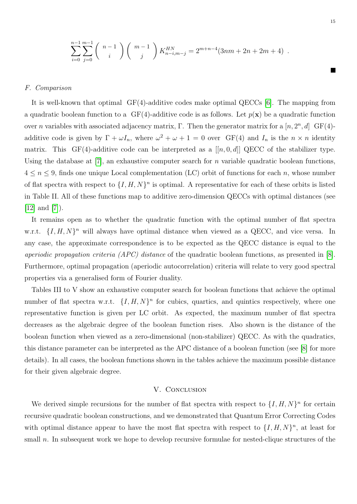$$
\sum_{i=0}^{n-1} \sum_{j=0}^{m-1} {n-1 \choose i} {m-1 \choose j} K_{n-i,m-j}^{HN} = 2^{m+n-4} (3nm + 2n + 2m + 4).
$$

# F. Comparison

It is well-known that optimal  $GF(4)$ -additive codes make optimal QECCs [\[6\]](#page-15-9). The mapping from a quadratic boolean function to a  $GF(4)$ -additive code is as follows. Let  $p(\mathbf{x})$  be a quadratic function over n variables with associated adjacency matrix, Γ. Then the generator matrix for a  $[n, 2<sup>n</sup>, d]$  GF(4)additive code is given by  $\Gamma + \omega I_n$ , where  $\omega^2 + \omega + 1 = 0$  over GF(4) and  $I_n$  is the  $n \times n$  identity matrix. This GF(4)-additive code can be interpreted as a  $[[n, 0, d]]$  QECC of the stabilizer type. Using the database at [\[7\]](#page-15-10), an exhaustive computer search for n variable quadratic boolean functions,  $4 \leq n \leq 9$ , finds one unique Local complementation (LC) orbit of functions for each n, whose number of flat spectra with respect to  $\{I, H, N\}^n$  is optimal. A representative for each of these orbits is listed in Table II. All of these functions map to additive zero-dimension QECCs with optimal distances (see  $[12]$  and  $[7]$ ).

It remains open as to whether the quadratic function with the optimal number of flat spectra w.r.t.  $\{I, H, N\}^n$  will always have optimal distance when viewed as a QECC, and vice versa. In any case, the approximate correspondence is to be expected as the QECC distance is equal to the aperiodic propagation criteria (APC) distance of the quadratic boolean functions, as presented in [\[8\]](#page-15-12). Furthermore, optimal propagation (aperiodic autocorrelation) criteria will relate to very good spectral properties via a generalised form of Fourier duality.

Tables III to V show an exhaustive computer search for boolean functions that achieve the optimal number of flat spectra w.r.t.  $\{I, H, N\}^n$  for cubics, quartics, and quintics respectively, where one representative function is given per LC orbit. As expected, the maximum number of flat spectra decreases as the algebraic degree of the boolean function rises. Also shown is the distance of the boolean function when viewed as a zero-dimensional (non-stabilizer) QECC. As with the quadratics, this distance parameter can be interpreted as the APC distance of a boolean function (see [\[8\]](#page-15-12) for more details). In all cases, the boolean functions shown in the tables achieve the maximum possible distance for their given algebraic degree.

# V. CONCLUSION

<span id="page-14-0"></span>We derived simple recursions for the number of flat spectra with respect to  $\{I, H, N\}^n$  for certain recursive quadratic boolean constructions, and we demonstrated that Quantum Error Correcting Codes with optimal distance appear to have the most flat spectra with respect to  $\{I, H, N\}^n$ , at least for small n. In subsequent work we hope to develop recursive formulae for nested-clique structures of the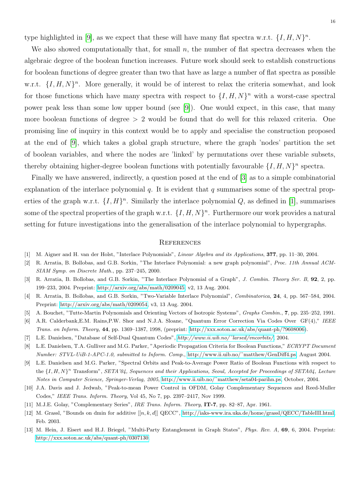type highlighted in [\[9\]](#page-15-1), as we expect that these will have many flat spectra w.r.t.  $\{I, H, N\}^n$ .

We also showed computationally that, for small  $n$ , the number of flat spectra decreases when the algebraic degree of the boolean function increases. Future work should seek to establish constructions for boolean functions of degree greater than two that have as large a number of flat spectra as possible w.r.t.  $\{I, H, N\}^n$ . More generally, it would be of interest to relax the criteria somewhat, and look for those functions which have many spectra with respect to  $\{I, H, N\}^n$  with a worst-case spectral power peak less than some low upper bound (see [\[9\]](#page-15-1)). One would expect, in this case, that many more boolean functions of degree  $> 2$  would be found that do well for this relaxed criteria. One promising line of inquiry in this context would be to apply and specialise the construction proposed at the end of [\[9\]](#page-15-1), which takes a global graph structure, where the graph 'nodes' partition the set of boolean variables, and where the nodes are 'linked' by permutations over these variable subsets, thereby obtaining higher-degree boolean functions with potentially favourable  $\{I, H, N\}^n$  spectra.

Finally we have answered, indirectly, a question posed at the end of [\[3\]](#page-15-4) as to a simple combinatorial explanation of the interlace polynomial q. It is evident that q summarises some of the spectral properties of the graph w.r.t.  $\{I, H\}^n$ . Similarly the interlace polynomial Q, as defined in [\[1\]](#page-15-3), summarises some of the spectral properties of the graph w.r.t.  $\{I, H, N\}^n$ . Furthermore our work provides a natural setting for future investigations into the generalisation of the interlace polynomial to hypergraphs.

#### **REFERENCES**

- <span id="page-15-3"></span>[1] M. Aigner and H. van der Holst, "Interlace Polynomials", Linear Algebra and its Applications, 377, pp. 11–30, 2004.
- <span id="page-15-2"></span>[2] R. Arratia, B. Bollobas, and G.B. Sorkin, "The Interlace Polynomial: a new graph polynomial", Proc. 11th Annual ACM-SIAM Symp. on Discrete Math., pp. 237–245, 2000.
- <span id="page-15-4"></span>[3] R. Arratia, B. Bollobas, and G.B. Sorkin, "The Interlace Polynomial of a Graph", J. Combin. Theory Ser. B, 92, 2, pp. 199–233, 2004. Preprint: [http://arxiv.org/abs/math/0209045,](http://arxiv.org/abs/math/0209045) v2, 13 Aug. 2004.
- <span id="page-15-5"></span>[4] R. Arratia, B. Bollobas, and G.B. Sorkin, "Two-Variable Interlace Polynomial", Combinatorica, 24, 4, pp. 567–584, 2004. Preprint: [http://arxiv.org/abs/math/0209054,](http://arxiv.org/abs/math/0209054) v3, 13 Aug. 2004.
- <span id="page-15-6"></span>[5] A. Bouchet, "Tutte-Martin Polynomials and Orienting Vectors of Isotropic Systems", Graphs Combin., 7, pp. 235–252, 1991.
- <span id="page-15-9"></span>[6] A.R. Calderbank,E.M. Rains,P.W. Shor and N.J.A. Sloane, "Quantum Error Correction Via Codes Over GF(4)," IEEE Trans. on Inform. Theory, 44, pp. 1369–1387, 1998, (preprint: [http://xxx.soton.ac.uk/abs/quant-ph/?9608006\)](http://xxx.soton.ac.uk/abs/quant-ph/?9608006).
- <span id="page-15-10"></span>[7] L.E. Danielsen, "Database of Self-Dual Quantum Codes", [http://www.ii.uib.no/˜larsed/vncorbits/](http://www.ii.uib.no/~larsed/vncorbits/), 2004.
- <span id="page-15-12"></span>[8] L.E. Danielsen, T.A. Gulliver and M.G. Parker, "Aperiodic Propagation Criteria for Boolean Functions," ECRYPT Document Number: STVL-UiB-1-APC-1.0, submitted to Inform. Comp., [http://www.ii.uib.no/˜matthew/GenDiff4.ps,](http://www.ii.uib.no/~matthew/GenDiff4.pdf) August 2004.
- <span id="page-15-1"></span>[9] L.E. Danielsen and M.G. Parker, "Spectral Orbits and Peak-to-Average Power Ratio of Boolean Functions with respect to the  $\{I, H, N\}^n$  Transform", SETA'04, Sequences and their Applications, Seoul, Accepted for Proceedings of SETA04, Lecture Notes in Computer Science, Springer-Verlag, 2005, [http://www.ii.uib.no/˜matthew/seta04-parihn.ps,](http://www.ii.uib.no/~matthew/seta04-parihn.pdf) October, 2004.
- <span id="page-15-8"></span>[10] J.A. Davis and J. Jedwab, "Peak-to-mean Power Control in OFDM, Golay Complementary Sequences and Reed-Muller Codes," IEEE Trans. Inform. Theory, Vol 45, No 7, pp. 2397–2417, Nov 1999.
- <span id="page-15-7"></span>[11] M.J.E. Golay, "Complementary Series", IRE Trans. Inform. Theory, IT-7, pp. 82–87, Apr. 1961.
- <span id="page-15-11"></span>[12] M. Grassl, "Bounds on dmin for additive  $[[n, k, d]]$  QECC", [http://iaks-www.ira.uka.de/home/grassl/QECC/TableIII.html,](http://iaks-www.ira.uka.de/home/grassl/QECC/TableIII.html) Feb. 2003.
- <span id="page-15-0"></span>[13] M. Hein, J. Eisert and H.J. Briegel, "Multi-Party Entanglement in Graph States", Phys. Rev. A, 69, 6, 2004. Preprint: [http://xxx.soton.ac.uk/abs/quant-ph/0307130.](http://xxx.soton.ac.uk/abs/quant-ph/0307130)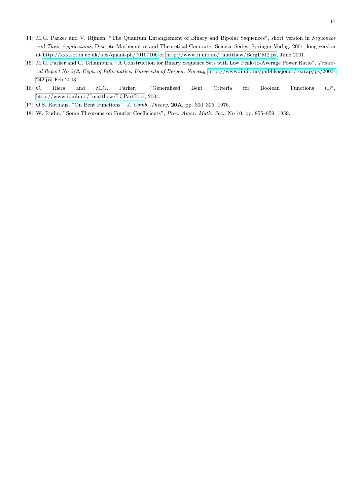- <span id="page-16-1"></span>[14] M.G. Parker and V. Rijmen, "The Quantum Entanglement of Binary and Bipolar Sequences", short version in Sequences and Their Applications, Discrete Mathematics and Theoretical Computer Science Series, Springer-Verlag, 2001, long version at<http://xxx.soton.ac.uk/abs/quant-ph/?0107106> or [http://www.ii.uib.no/˜matthew/BergDM2.ps,](http://www.ii.uib.no/~matthew/BergDM2.ps) June 2001.
- <span id="page-16-3"></span>[15] M.G. Parker and C. Tellambura, "A Construction for Binary Sequence Sets with Low Peak-to-Average Power Ratio", Technical Report No 242, Dept. of Informatics, University of Bergen, Norway, [http://www.ii.uib.no/publikasjoner/texrap/ps/2003-](http://www.ii.uib.no/publikasjoner/texrap/ps/2003-242.ps) [242.ps,](http://www.ii.uib.no/publikasjoner/texrap/ps/2003-242.ps) Feb 2003.
- <span id="page-16-0"></span>[16] C. Riera and M.G. Parker, "Generalised Bent Criteria for Boolean Functions (I)", [http://www.ii.uib.no/˜matthew/LCPartIf.ps,](http://www.ii.uib.no/~matthew/LCPartIf.pdf) 2004.
- <span id="page-16-2"></span>[17] O.S. Rothaus, "On Bent Functions", *J. Comb. Theory*, **20A**, pp. 300–305, 1976.
- <span id="page-16-4"></span>[18] W. Rudin, "Some Theorems on Fourier Coefficients", Proc. Amer. Math. Soc., No 10, pp. 855-859, 1959.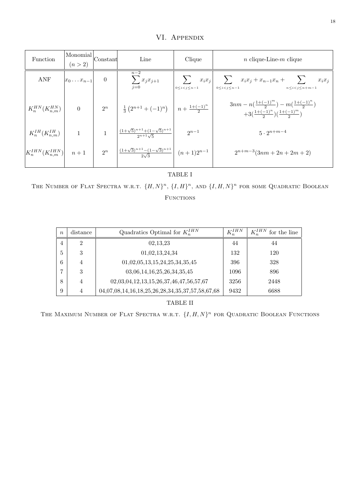VI. Appendix

<span id="page-17-0"></span>

| Function                                      | Monomial<br>(n > 2)    | Constant       | Line                                                                                  | Clique                | <i>n</i> clique-Line- <i>m</i> clique                                                                             |  |
|-----------------------------------------------|------------------------|----------------|---------------------------------------------------------------------------------------|-----------------------|-------------------------------------------------------------------------------------------------------------------|--|
| ANF                                           | $ x_0 \ldots x_{n-1} $ | $\overline{0}$ | $n-2$<br>$\sum_{j=0} x_j x_{j+1}$                                                     | $0 \le i < j \le n-1$ | $x_i x_j$ $\sum x_i x_j + x_{n-1} x_n + \sum$<br>$x_ix_j$<br>$0 \le i \le j \le n-1$<br>$n \leq i < j \leq n+m-1$ |  |
| $K_n^{HN}(K_{n,m}^{HN})$                      | $\overline{0}$         |                | $2^n$ $\frac{1}{3}(2^{n+1}+(-1)^n)$ $\left\lfloor n+\frac{1+(-1)^n}{2}\right\rfloor$  |                       | $3nm - n(\frac{1+(-1)^m}{2}) - m(\frac{1+(-1)^n}{2})$<br>$+3(\frac{1+(-1)^n}{2})(\frac{1+(-1)^m}{2})$             |  |
| $K_n^{IH}(K_{n,m}^{IH})$                      | $\mathbf{1}$           |                | $\frac{(1+\sqrt{5})^{n+1}+(1-\sqrt{5})^{n+1}}{2^{n+1}\sqrt{5}}$                       | $2^{n-1}$             | $5 \cdot 2^{n+m-4}$                                                                                               |  |
| $\left K_n^{IHN}(K_{n,m}^{IHN})\right $ $n+1$ |                        | $2^n$          | $\left  \frac{(1+\sqrt{3})^{n+1}-(1-\sqrt{3})^{n+1}}{2\sqrt{3}} \right  (n+1)2^{n-1}$ |                       | $2^{n+m-3}(3nm+2n+2m+2)$                                                                                          |  |

TABLE I

THE NUMBER OF FLAT SPECTRA W.R.T.  $\{H, N\}^n$ ,  $\{I, H\}^n$ , and  $\{I, H, N\}^n$  for some Quadratic Boolean FUNCTIONS

| $\eta$         | distance       | Quadratics Optimal for $K_n^{IHN}$                             | $K^{IHN}$ | $K_n^{IHN}$<br>for the line |
|----------------|----------------|----------------------------------------------------------------|-----------|-----------------------------|
| $\overline{4}$ | $\overline{2}$ | 02,13,23                                                       | 44        | 44                          |
| 5              | 3              | 01,02,13,24,34                                                 | 132       | 120                         |
| 6              |                | 01,02,05,13,15,24,25,34,35,45                                  | 396       | 328                         |
|                | 3              | 03,06,14,16,25,26,34,35,45                                     | 1096      | 896                         |
| 8              | 4              | $02,03,04,12,13,15,26,37,46,47,56,57,67$                       | 3256      | 2448                        |
| 9              | 4              | 04, 07, 08, 14, 16, 18, 25, 26, 28, 34, 35, 37, 57, 58, 67, 68 | 9432      | 6688                        |

TABLE II

THE MAXIMUM NUMBER OF FLAT SPECTRA W.R.T.  $\{I, H, N\}^n$  for QUADRATIC BOOLEAN FUNCTIONS